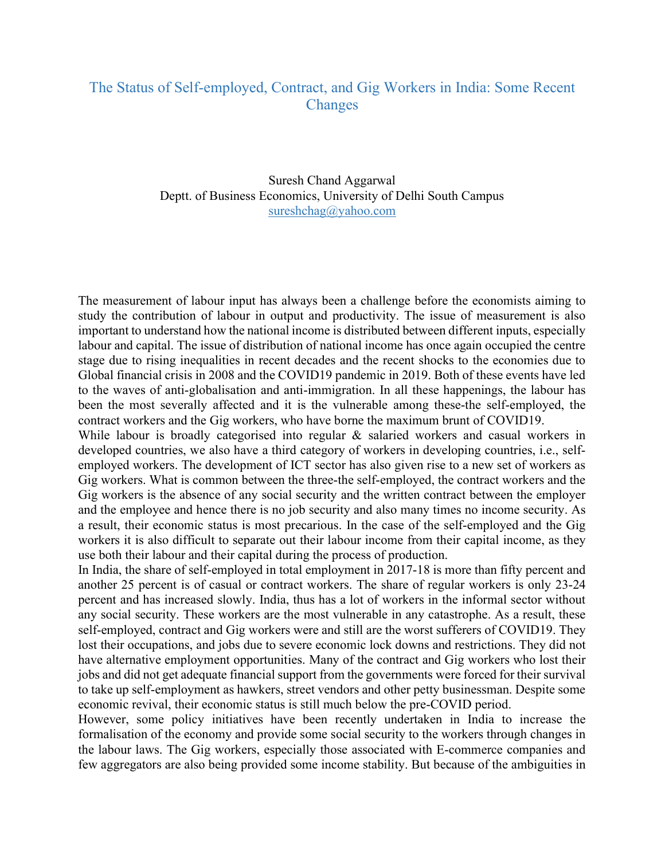## The Status of Self-employed, Contract, and Gig Workers in India: Some Recent **Changes**

Suresh Chand Aggarwal Deptt. of Business Economics, University of Delhi South Campus sureshchag@yahoo.com

The measurement of labour input has always been a challenge before the economists aiming to study the contribution of labour in output and productivity. The issue of measurement is also important to understand how the national income is distributed between different inputs, especially labour and capital. The issue of distribution of national income has once again occupied the centre stage due to rising inequalities in recent decades and the recent shocks to the economies due to Global financial crisis in 2008 and the COVID19 pandemic in 2019. Both of these events have led to the waves of anti-globalisation and anti-immigration. In all these happenings, the labour has been the most severally affected and it is the vulnerable among these-the self-employed, the contract workers and the Gig workers, who have borne the maximum brunt of COVID19.

While labour is broadly categorised into regular & salaried workers and casual workers in developed countries, we also have a third category of workers in developing countries, i.e., selfemployed workers. The development of ICT sector has also given rise to a new set of workers as Gig workers. What is common between the three-the self-employed, the contract workers and the Gig workers is the absence of any social security and the written contract between the employer and the employee and hence there is no job security and also many times no income security. As a result, their economic status is most precarious. In the case of the self-employed and the Gig workers it is also difficult to separate out their labour income from their capital income, as they use both their labour and their capital during the process of production.

In India, the share of self-employed in total employment in 2017-18 is more than fifty percent and another 25 percent is of casual or contract workers. The share of regular workers is only 23-24 percent and has increased slowly. India, thus has a lot of workers in the informal sector without any social security. These workers are the most vulnerable in any catastrophe. As a result, these self-employed, contract and Gig workers were and still are the worst sufferers of COVID19. They lost their occupations, and jobs due to severe economic lock downs and restrictions. They did not have alternative employment opportunities. Many of the contract and Gig workers who lost their jobs and did not get adequate financial support from the governments were forced for their survival to take up self-employment as hawkers, street vendors and other petty businessman. Despite some economic revival, their economic status is still much below the pre-COVID period.

However, some policy initiatives have been recently undertaken in India to increase the formalisation of the economy and provide some social security to the workers through changes in the labour laws. The Gig workers, especially those associated with E-commerce companies and few aggregators are also being provided some income stability. But because of the ambiguities in